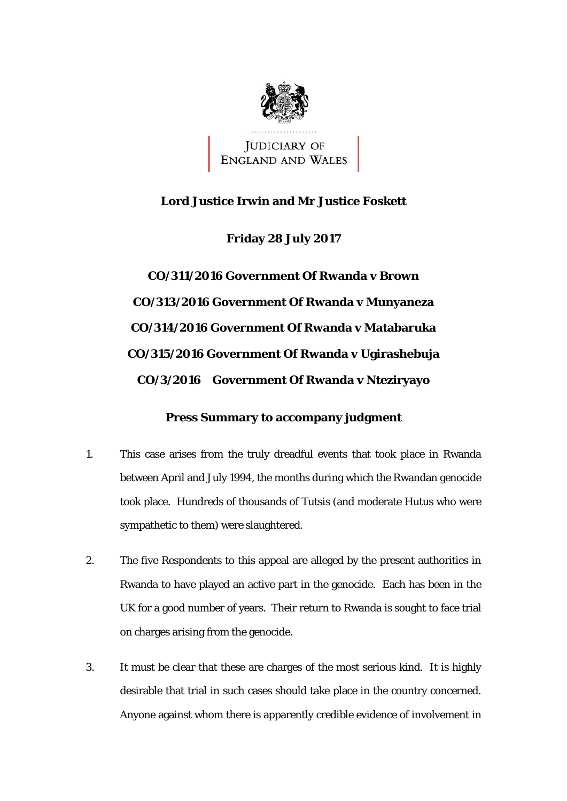

JUDICIARY OF<br>ENGLAND AND WALES

## **Lord Justice Irwin and Mr Justice Foskett**

**Friday 28 July 2017** 

 **CO/3/2016 Government Of Rwanda v Nteziryayo CO/311/2016 Government Of Rwanda v Brown CO/313/2016 Government Of Rwanda v Munyaneza CO/314/2016 Government Of Rwanda v Matabaruka CO/315/2016 Government Of Rwanda v Ugirashebuja** 

## **Press Summary to accompany judgment**

- 1. This case arises from the truly dreadful events that took place in Rwanda between April and July 1994, the months during which the Rwandan genocide took place. Hundreds of thousands of Tutsis (and moderate Hutus who were sympathetic to them) were slaughtered.
- 2. The five Respondents to this appeal are alleged by the present authorities in Rwanda to have played an active part in the genocide. Each has been in the UK for a good number of years. Their return to Rwanda is sought to face trial on charges arising from the genocide.
- desirable that trial in such cases should take place in the country concerned. 3. It must be clear that these are charges of the most serious kind. It is highly Anyone against whom there is apparently credible evidence of involvement in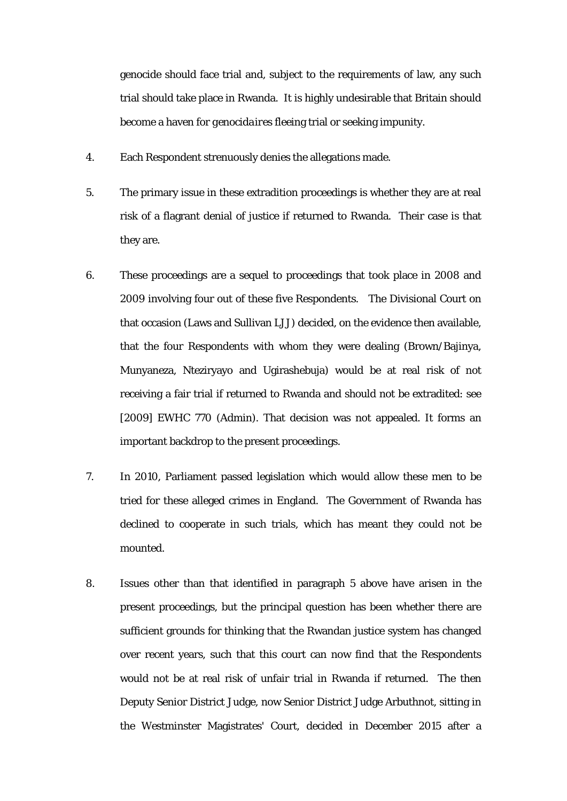genocide should face trial and, subject to the requirements of law, any such trial should take place in Rwanda. It is highly undesirable that Britain should become a haven for *genocidaires* fleeing trial or seeking impunity.

- 4. Each Respondent strenuously denies the allegations made.
- 5. The primary issue in these extradition proceedings is whether they are at real risk of a flagrant denial of justice if returned to Rwanda. Their case is that they are.
- important backdrop to the present proceedings. 6. These proceedings are a sequel to proceedings that took place in 2008 and 2009 involving four out of these five Respondents. The Divisional Court on that occasion (Laws and Sullivan LJJ) decided, on the evidence then available, that the four Respondents with whom they were dealing (Brown/Bajinya, Munyaneza, Nteziryayo and Ugirashebuja) would be at real risk of not receiving a fair trial if returned to Rwanda and should not be extradited: see [2009] EWHC 770 (Admin). That decision was not appealed. It forms an
- 7. In 2010, Parliament passed legislation which would allow these men to be tried for these alleged crimes in England. The Government of Rwanda has declined to cooperate in such trials, which has meant they could not be mounted.
- 8. Issues other than that identified in paragraph 5 above have arisen in the present proceedings, but the principal question has been whether there are sufficient grounds for thinking that the Rwandan justice system has changed over recent years, such that this court can now find that the Respondents would not be at real risk of unfair trial in Rwanda if returned. The then Deputy Senior District Judge, now Senior District Judge Arbuthnot, sitting in the Westminster Magistrates' Court, decided in December 2015 after a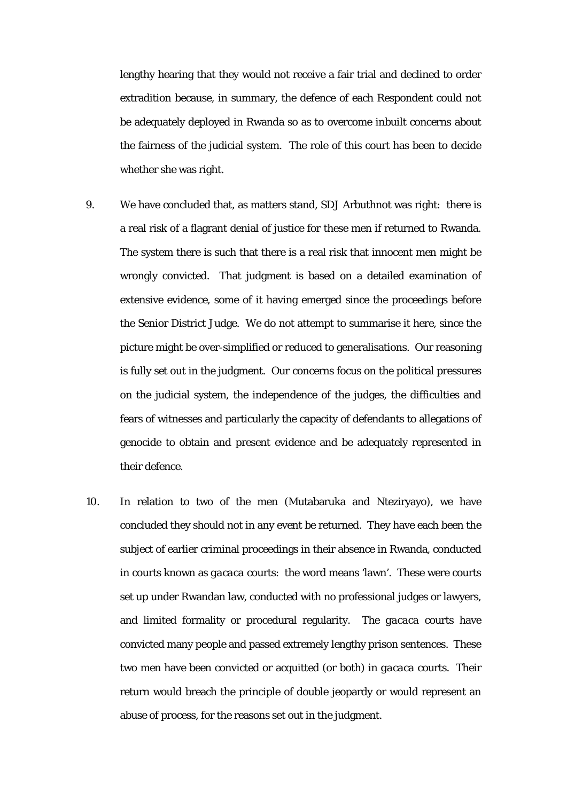be adequately deployed in Rwanda so as to overcome inbuilt concerns about lengthy hearing that they would not receive a fair trial and declined to order extradition because, in summary, the defence of each Respondent could not the fairness of the judicial system. The role of this court has been to decide whether she was right.

- a real risk of a flagrant denial of justice for these men if returned to Rwanda. The system there is such that there is a real risk that innocent men might be genocide to obtain and present evidence and be adequately represented in 9. We have concluded that, as matters stand, SDJ Arbuthnot was right: there is wrongly convicted. That judgment is based on a detailed examination of extensive evidence, some of it having emerged since the proceedings before the Senior District Judge. We do not attempt to summarise it here, since the picture might be over-simplified or reduced to generalisations. Our reasoning is fully set out in the judgment. Our concerns focus on the political pressures on the judicial system, the independence of the judges, the difficulties and fears of witnesses and particularly the capacity of defendants to allegations of their defence.
- in courts known as *gacaca* courts: the word means 'lawn'. These were courts convicted many people and passed extremely lengthy prison sentences. These 10. In relation to two of the men (Mutabaruka and Nteziryayo), we have concluded they should not in any event be returned. They have each been the subject of earlier criminal proceedings in their absence in Rwanda, conducted set up under Rwandan law, conducted with no professional judges or lawyers, and limited formality or procedural regularity. The *gacaca* courts have two men have been convicted or acquitted (or both) in *gacaca* courts. Their return would breach the principle of double jeopardy or would represent an abuse of process, for the reasons set out in the judgment.